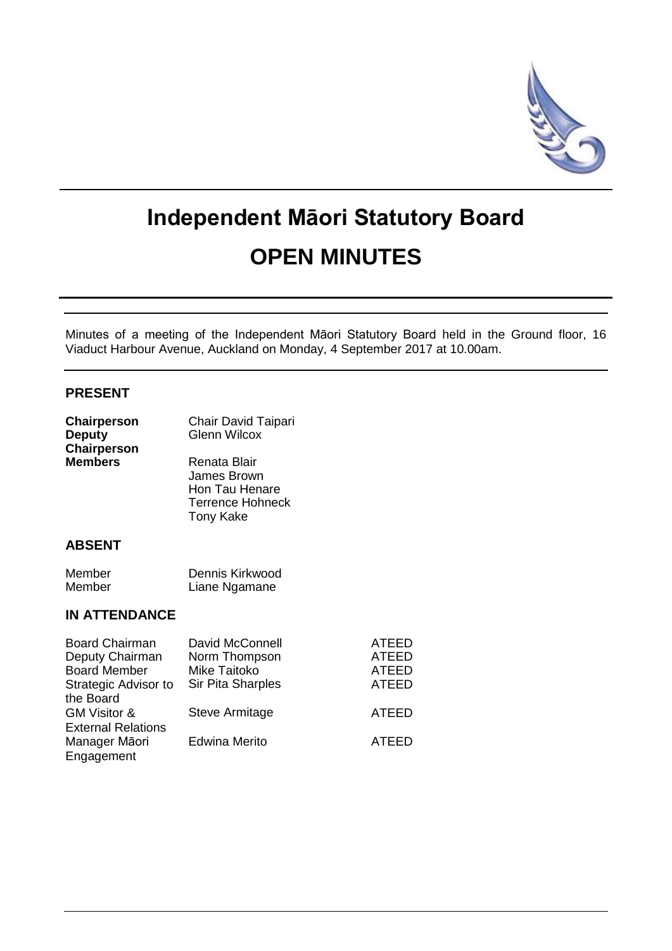

# **Independent Māori Statutory Board OPEN MINUTES**

Minutes of a meeting of the Independent Māori Statutory Board held in the Ground floor, 16 Viaduct Harbour Avenue, Auckland on Monday, 4 September 2017 at 10.00am.

# **PRESENT**

| Chairperson<br><b>Deputy</b><br>Chairperson | Chair David Taipari<br><b>Glenn Wilcox</b>                                            |                |
|---------------------------------------------|---------------------------------------------------------------------------------------|----------------|
| <b>Members</b>                              | Renata Blair<br>James Brown<br>Hon Tau Henare<br>Terrence Hohneck<br><b>Tony Kake</b> |                |
| <b>ABSENT</b>                               |                                                                                       |                |
| Member<br>Member                            | Dennis Kirkwood<br>Liane Ngamane                                                      |                |
| <b>IN ATTENDANCE</b>                        |                                                                                       |                |
| <b>Board Chairman</b><br>Deputy Chairman    | David McConnell<br>Norm Thompson                                                      | ATEED<br>ATEED |

|                           | ------------------   |              |
|---------------------------|----------------------|--------------|
| Deputy Chairman           | Norm Thompson        | <b>ATEED</b> |
| <b>Board Member</b>       | Mike Taitoko         | <b>ATEED</b> |
| Strategic Advisor to      | Sir Pita Sharples    | <b>ATEED</b> |
| the Board                 |                      |              |
| <b>GM Visitor &amp;</b>   | Steve Armitage       | <b>ATEED</b> |
| <b>External Relations</b> |                      |              |
| Manager Māori             | <b>Edwina Merito</b> | <b>ATEED</b> |
| Engagement                |                      |              |
|                           |                      |              |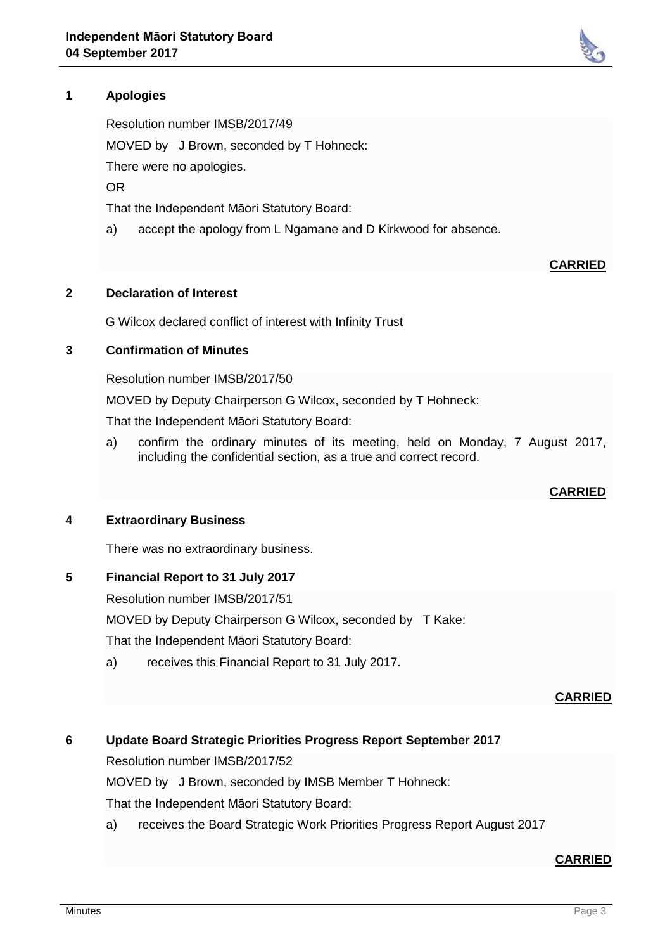# **1 Apologies**

Resolution number IMSB/2017/49 MOVED by J Brown, seconded by T Hohneck: There were no apologies. OR That the Independent Māori Statutory Board:

a) accept the apology from L Ngamane and D Kirkwood for absence.

#### **2 Declaration of Interest**

G Wilcox declared conflict of interest with Infinity Trust

#### **3 Confirmation of Minutes**

Resolution number IMSB/2017/50

MOVED by Deputy Chairperson G Wilcox, seconded by T Hohneck:

That the Independent Māori Statutory Board:

a) confirm the ordinary minutes of its meeting, held on Monday, 7 August 2017, including the confidential section, as a true and correct record.

## **CARRIED**

**CARRIED**

#### **4 Extraordinary Business**

There was no extraordinary business.

## **5 Financial Report to 31 July 2017**

Resolution number IMSB/2017/51

MOVED by Deputy Chairperson G Wilcox, seconded by T Kake:

That the Independent Māori Statutory Board:

a) receives this Financial Report to 31 July 2017.

#### **CARRIED**

# **6 Update Board Strategic Priorities Progress Report September 2017**

Resolution number IMSB/2017/52

MOVED by J Brown, seconded by IMSB Member T Hohneck:

That the Independent Māori Statutory Board:

a) receives the Board Strategic Work Priorities Progress Report August 2017

## **CARRIED**

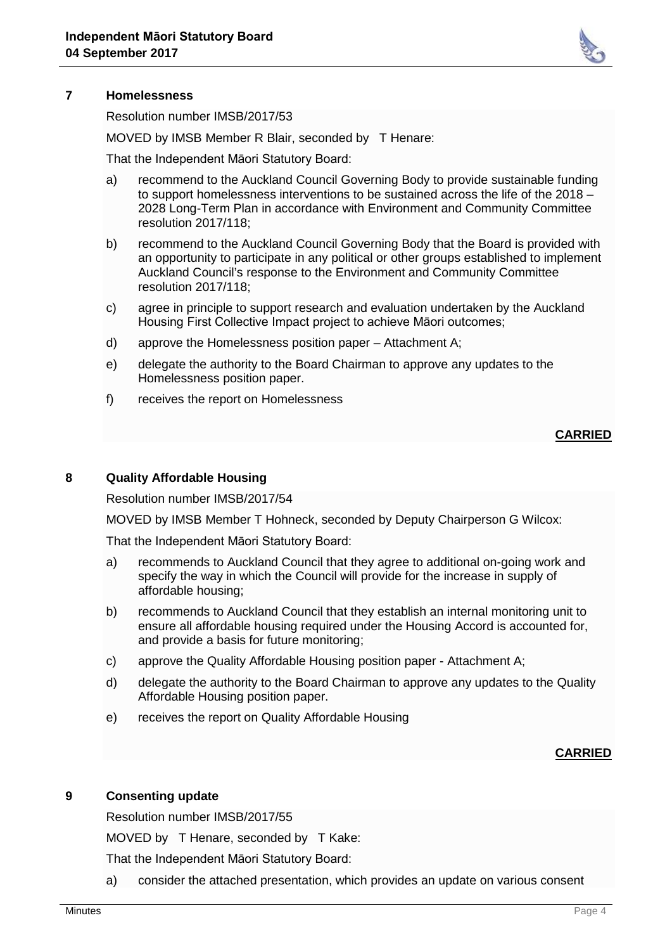

# **7 Homelessness**

Resolution number IMSB/2017/53

MOVED by IMSB Member R Blair, seconded by T Henare:

That the Independent Māori Statutory Board:

- a) recommend to the Auckland Council Governing Body to provide sustainable funding to support homelessness interventions to be sustained across the life of the 2018 – 2028 Long-Term Plan in accordance with Environment and Community Committee resolution 2017/118;
- b) recommend to the Auckland Council Governing Body that the Board is provided with an opportunity to participate in any political or other groups established to implement Auckland Council's response to the Environment and Community Committee resolution 2017/118;
- c) agree in principle to support research and evaluation undertaken by the Auckland Housing First Collective Impact project to achieve Māori outcomes;
- d) approve the Homelessness position paper Attachment A;
- e) delegate the authority to the Board Chairman to approve any updates to the Homelessness position paper.
- f) receives the report on Homelessness

# **CARRIED**

## **8 Quality Affordable Housing**

Resolution number IMSB/2017/54

MOVED by IMSB Member T Hohneck, seconded by Deputy Chairperson G Wilcox:

That the Independent Māori Statutory Board:

- a) recommends to Auckland Council that they agree to additional on-going work and specify the way in which the Council will provide for the increase in supply of affordable housing;
- b) recommends to Auckland Council that they establish an internal monitoring unit to ensure all affordable housing required under the Housing Accord is accounted for, and provide a basis for future monitoring;
- c) approve the Quality Affordable Housing position paper Attachment A;
- d) delegate the authority to the Board Chairman to approve any updates to the Quality Affordable Housing position paper.
- e) receives the report on Quality Affordable Housing

## **CARRIED**

## **9 Consenting update**

Resolution number IMSB/2017/55

MOVED by T Henare, seconded by T Kake:

That the Independent Māori Statutory Board:

a) consider the attached presentation, which provides an update on various consent